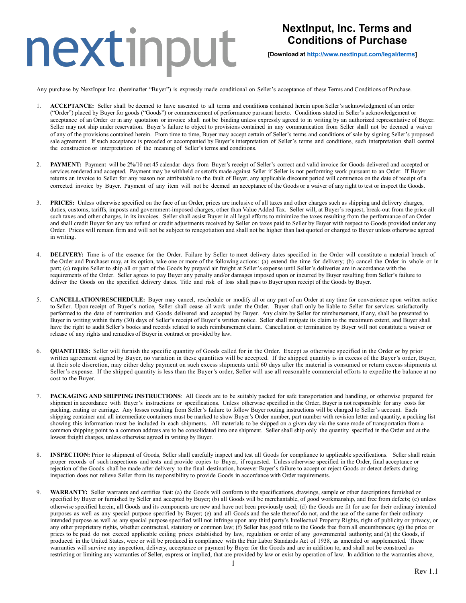### nextinput

### **NextInput, Inc. Terms and Conditions of Purchase**

**[Download at [http://www.nextinput.com/legal/terms\]](http://www.nextinput.com/legal/terms)**

Any purchase by NextInput Inc. (hereinafter "Buyer") is expressly made conditional on Seller's acceptance of these Terms and Conditions of Purchase.

- ACCEPTANCE: Seller shall be deemed to have assented to all terms and conditions contained herein upon Seller's acknowledgment of an order ("Order") placed by Buyer for goods ("Goods") or commencement of performance pursuant hereto. Conditions stated in Seller's acknowledgement or acceptance of an Order or in any quotation or invoice shall not be binding unless expressly agreed to in writing by an authorized representative of Buyer. Seller may not ship under reservation. Buyer's failure to object to provisions contained in any communication from Seller shall not be deemed a waiver of any of the provisions contained herein. From time to time, Buyer may accept certain of Seller's terms and conditions of sale by signing Seller's proposed sale agreement. If such acceptance is preceded or accompanied by Buyer's interpretation of Seller's terms and conditions, such interpretation shall control the construction or interpretation of the meaning of Seller's terms and conditions.
- **PAYMENT:** Payment will be 2%/10 net 45 calendar days from Buyer's receipt of Seller's correct and valid invoice for Goods delivered and accepted or services rendered and accepted. Payment may be withheld or setoffs made against Seller if Seller is not performing work pursuant to an Order. If Buyer returns an invoice to Seller for any reason not attributable to the fault of Buyer, any applicable discount period will commence on the date of receipt of a corrected invoice by Buyer. Payment of any item will not be deemed an acceptance of the Goods or a waiver of any right to test or inspect the Goods.
- **PRICES:** Unless otherwise specified on the face of an Order, prices are inclusive of all taxes and other charges such as shipping and delivery charges, duties, customs, tariffs, imposts and government-imposed charges, other than Value Added Tax. Seller will, at Buyer's request, break-out from the price all such taxes and other charges, in its invoices. Seller shall assist Buyer in all legal efforts to minimize the taxes resulting from the performance of an Order and shall credit Buyer for any tax refund or credit adjustments received by Seller on taxes paid to Seller by Buyer with respect to Goods provided under any Order. Prices will remain firm and will not be subject to renegotiation and shall not be higher than last quoted or charged to Buyer unless otherwise agreed in writing.
- 4. **DELIVERY:** Time is of the essence for the Order. Failure by Seller to meet delivery dates specified in the Order will constitute a material breach of the Order and Purchaser may, at its option, take one or more of the following actions: (a) extend the time for delivery; (b) cancel the Order in whole or in part; (c) require Seller to ship all or part of the Goods by prepaid air freight at Seller's expense until Seller's deliveries are in accordance with the requirements of the Order. Seller agrees to pay Buyer any penalty and/or damages imposed upon or incurred by Buyer resulting from Seller's failure to deliver the Goods on the specified delivery dates. Title and risk of loss shall pass to Buyer upon receipt of the Goods by Buyer.
- 5. **CANCELLATION/RESCHEDULE:** Buyer may cancel, reschedule or modify all or any part of an Order at any time for convenience upon written notice to Seller. Upon receipt of Buyer's notice, Seller shall cease all work under the Order. Buyer shall only be liable to Seller for services satisfactorily performed to the date of termination and Goods delivered and accepted by Buyer. Any claim by Seller for reimbursement, if any, shall be presented to Buyer in writing within thirty (30) days of Seller's receipt of Buyer's written notice. Seller shall mitigate its claim to the maximum extent, and Buyer shall have the right to audit Seller's books and records related to such reimbursement claim. Cancellation or termination by Buyer will not constitute a waiver or release of any rights and remedies of Buyer in contract or provided by law.
- 6. **QUANTITIES:** Seller will furnish the specific quantity of Goods called for in the Order. Except as otherwise specified in the Order or by prior written agreement signed by Buyer, no variation in these quantities will be accepted. If the shipped quantity is in excess of the Buyer's order, Buyer, at their sole discretion, may either delay payment on such excess shipments until 60 days after the material is consumed or return excess shipments at Seller's expense. If the shipped quantity is less than the Buyer's order, Seller will use all reasonable commercial efforts to expedite the balance at no cost to the Buyer.
- 7. **PACKAGING AND SHIPPING INSTRUCTIONS**: All Goods are to be suitably packed for safe transportation and handling, or otherwise prepared for shipment in accordance with Buyer's instructions or specifications. Unless otherwise specified in the Order, Buyer is not responsible for any costs for packing, crating or carriage. Any losses resulting from Seller's failure to follow Buyer routing instructions will be charged to Seller's account. Each shipping container and all intermediate containers must be marked to show Buyer's Order number, part number with revision letter and quantity, a packing list showing this information must be included in each shipments. All materials to be shipped on a given day via the same mode of transportation from a common shipping point to a common address are to be consolidated into one shipment. Seller shall ship only the quantity specified in the Order and at the lowest freight charges, unless otherwise agreed in writing by Buyer.
- 8. **INSPECTION:** Prior to shipment of Goods, Seller shall carefully inspect and test all Goods for compliance to applicable specifications. Seller shall retain proper records of such inspections and tests and provide copies to Buyer, if requested. Unless otherwise specified in the Order, final acceptance or rejection of the Goods shall be made after delivery to the final destination, however Buyer's failure to accept or reject Goods or detect defects during inspection does not relieve Seller from its responsibility to provide Goods in accordance with Order requirements.
- 9. **WARRANTY:** Seller warrants and certifies that: (a) the Goods will conform to the specifications, drawings, sample or other descriptions furnished or specified by Buyer or furnished by Seller and accepted by Buyer; (b) all Goods will be merchantable, of good workmanship, and free from defects; (c) unless otherwise specified herein, all Goods and its components are new and have not been previously used; (d) the Goods are fit for use for their ordinary intended purposes as well as any special purpose specified by Buyer; (e) and all Goods and the sale thereof do not, and the use of the same for their ordinary intended purpose as well as any special purpose specified will not infringe upon any third party's Intellectual Property Rights, right of publicity or privacy, or any other proprietary rights, whether contractual, statutory or common law; (f) Seller has good title to the Goods free from all encumbrances; (g) the price or prices to be paid do not exceed applicable ceiling prices established by law, regulation or order of any governmental authority; and (h) the Goods, if produced in the United States, were or will be produced in compliance with the Fair Labor Standards Act of 1938, as amended or supplemented. These warranties will survive any inspection, delivery, acceptance or payment by Buyer for the Goods and are in addition to, and shall not be construed as restricting or limiting any warranties of Seller, express or implied, that are provided by law or exist by operation of law. In addition to the warranties above,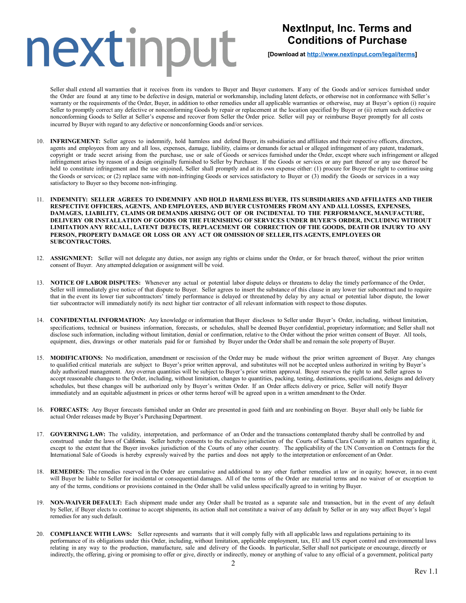# nextinput

### **NextInput, Inc. Terms and Conditions of Purchase**

**[Download at [http://www.nextinput.com/legal/terms\]](http://www.nextinput.com/legal/terms)**

Seller shall extend all warranties that it receives from its vendors to Buyer and Buyer customers. If any of the Goods and/or services furnished under the Order are found at any time to be defective in design, material or workmanship, including latent defects, or otherwise not in conformance with Seller's warranty or the requirements of the Order, Buyer, in addition to other remedies under all applicable warranties or otherwise, may at Buyer's option (i) require Seller to promptly correct any defective or nonconforming Goods by repair or replacement at the location specified by Buyer or (ii) return such defective or nonconforming Goods to Seller at Seller's expense and recover from Seller the Order price. Seller will pay or reimburse Buyer promptly for all costs incurred by Buyer with regard to any defective or nonconforming Goods and/or services.

- 10. **INFRINGEMENT:** Seller agrees to indemnify, hold harmless and defend Buyer, its subsidiaries and affiliates and their respective officers, directors, agents and employees from any and all loss, expenses, damage, liability, claims or demands for actual or alleged infringement of any patent, trademark, copyright or trade secret arising from the purchase, use or sale of Goods or services furnished under the Order, except where such infringement or alleged infringement arises by reason of a design originally furnished to Seller by Purchaser. If the Goods or services or any part thereof or any use thereof be held to constitute infringement and the use enjoined, Seller shall promptly and at its own expense either: (1) procure for Buyer the right to continue using the Goods or services; or (2) replace same with non-infringing Goods or services satisfactory to Buyer or (3) modify the Goods or services in a way satisfactory to Buyer so they become non-infringing.
- 11. **INDEMNITY: SELLER AGREES TO INDEMNIFY AND HOLD HARMLESS BUYER, ITS SUBSIDIARIES AND AFFILIATES AND THEIR RESPECTIVE OFFICERS, AGENTS, AND EMPLOYEES, AND BUYER CUSTOMERS FROM ANY AND ALL LOSSES, EXPENSES, DAMAGES, LIABILITY, CLAIMS OR DEMANDS ARISING OUT OF OR INCIDENTAL TO THE PERFORMANCE, MANUFACTURE, DELIVERY OR INSTALLATION OF GOODS OR THE FURNISHING OF SERVICES UNDER BUYER'S ORDER, INCLUDING WITHOUT LIMITATION ANY RECALL, LATENT DEFECTS, REPLACEMENT OR CORRECTION OF THE GOODS, DEATH OR INJURY TO ANY PERSON, PROPERTY DAMAGE OR LOSS OR ANY ACT OR OMISSION OF SELLER,ITS AGENTS, EMPLOYEES OR SUBCONTRACTORS.**
- 12. **ASSIGNMENT:** Seller will not delegate any duties, nor assign any rights or claims under the Order, or for breach thereof, without the prior written consent of Buyer. Any attempted delegation or assignment will be void.
- 13. **NOTICE OF LABOR DISPUTES:** Whenever any actual or potential labor dispute delays or threatens to delay the timely performance of the Order, Seller will immediately give notice of that dispute to Buyer. Seller agrees to insert the substance of this clause in any lower tier subcontract and to require that in the event its lower tier subcontractors' timely performance is delayed or threatened by delay by any actual or potential labor dispute, the lower tier subcontractor will immediately notify its next higher tier contractor of all relevant information with respect to those disputes.
- 14. **CONFIDENTIAL INFORMATION:** Any knowledge or information that Buyer discloses to Seller under Buyer's Order, including, without limitation, specifications, technical or business information, forecasts, or schedules, shall be deemed Buyer confidential, proprietary information; and Seller shall not disclose such information, including without limitation, denial or confirmation, relative to the Order without the prior written consent of Buyer. All tools, equipment, dies, drawings or other materials paid for or furnished by Buyer under the Order shall be and remain the sole property of Buyer.
- 15. **MODIFICATIONS:** No modification, amendment or rescission of the Order may be made without the prior written agreement of Buyer. Any changes to qualified critical materials are subject to Buyer's prior written approval, and substitutes will not be accepted unless authorized in writing by Buyer's duly authorized management. Any overrun quantities will be subject to Buyer's prior written approval. Buyer reserves the right to and Seller agrees to accept reasonable changes to the Order, including, without limitation, changes to quantities, packing, testing, destinations, specifications, designs and delivery schedules, but these changes will be authorized only by Buyer's written Order. If an Order affects delivery or price, Seller will notify Buyer immediately and an equitable adjustment in prices or other terms hereof will be agreed upon in a written amendment to the Order.
- 16. **FORECASTS:** Any Buyer forecasts furnished under an Order are presented in good faith and are nonbinding on Buyer. Buyer shall only be liable for actual Order releases made by Buyer's Purchasing Department.
- 17. **GOVERNING LAW:** The validity, interpretation, and performance of an Order and the transactions contemplated thereby shall be controlled by and construed under the laws of California. Seller hereby consents to the exclusive jurisdiction of the Courts of Santa Clara County in all matters regarding it, except to the extent that the Buyer invokes jurisdiction of the Courts of any other country. The applicability of the UN Convention on Contracts for the International Sale of Goods is hereby expressly waived by the parties and does not apply to the interpretation or enforcement of an Order.
- 18. **REMEDIES:** The remedies reserved in the Order are cumulative and additional to any other further remedies at law or in equity; however, in no event will Buyer be liable to Seller for incidental or consequential damages. All of the terms of the Order are material terms and no waiver of or exception to any of the terms, conditions or provisions contained in the Order shall be valid unless specifically agreed to in writing by Buyer.
- 19. **NON-WAIVER DEFAULT:** Each shipment made under any Order shall be treated as a separate sale and transaction, but in the event of any default by Seller, if Buyer elects to continue to accept shipments, its action shall not constitute a waiver of any default by Seller or in any way affect Buyer's legal remedies for any such default.
- 20. **COMPLIANCE WITH LAWS:** Seller represents and warrants that it will comply fully with all applicable laws and regulations pertaining to its performance of its obligations under this Order, including, without limitation, applicable employment, tax, EU and US export control and environmental laws relating in any way to the production, manufacture, sale and delivery of the Goods. In particular, Seller shall not participate or encourage, directly or indirectly, the offering, giving or promising to offer or give, directly or indirectly, money or anything of value to any official of a government, political party